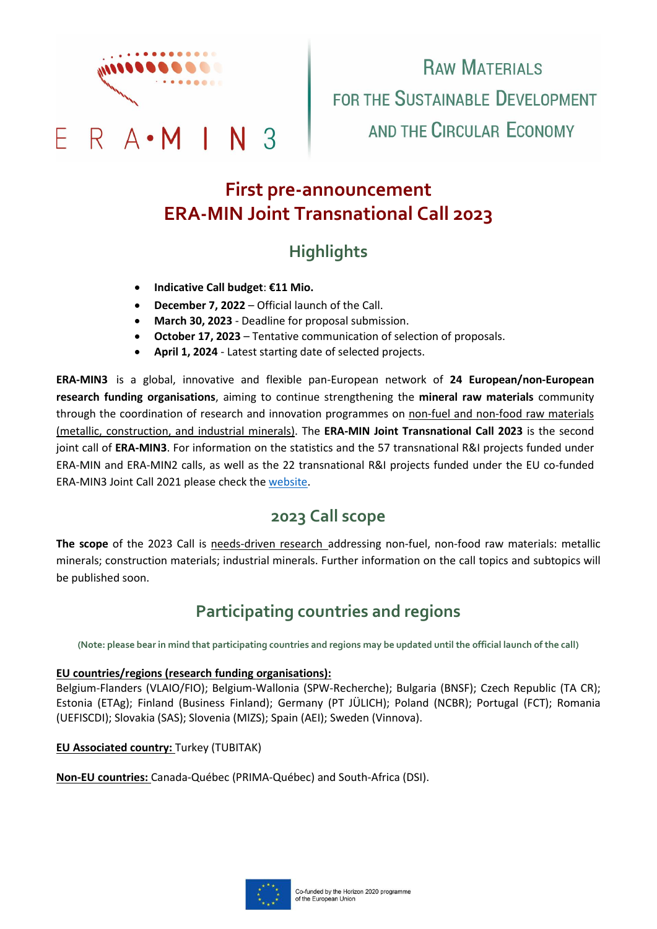

# **RAW MATERIALS** FOR THE SUSTAINABLE DEVELOPMENT AND THE CIRCULAR FCONOMY

# **First pre-announcement ERA-MIN Joint Transnational Call 2023**

# **Highlights**

- **Indicative Call budget**: **€11 Mio.**
- **December 7, 2022** Official launch of the Call.
- **March 30, 2023** Deadline for proposal submission.
- **October 17, 2023** Tentative communication of selection of proposals.
- **April 1, 2024** Latest starting date of selected projects.

**ERA-MIN3** is a global, innovative and flexible pan-European network of **24 European/non-European research funding organisations**, aiming to continue strengthening the **mineral raw materials** community through the coordination of research and innovation programmes on non-fuel and non-food raw materials (metallic, construction, and industrial minerals). The **ERA-MIN Joint Transnational Call 2023** is the second joint call of **ERA-MIN3**. For information on the statistics and the 57 transnational R&I projects funded under ERA-MIN and ERA-MIN2 calls, as well as the 22 transnational R&I projects funded under the EU co-funded ERA-MIN3 Joint Call 2021 please check th[e website.](https://www.era-min.eu/results)

#### **2023 Call scope**

**The scope** of the 2023 Call is needs-driven research addressing non-fuel, non-food raw materials: metallic minerals; construction materials; industrial minerals. Further information on the call topics and subtopics will be published soon.

### **Participating countries and regions**

**(Note: please bear in mind that participating countries and regions may be updated until the official launch of the call)**

#### **EU countries/regions (research funding organisations):**

Belgium-Flanders (VLAIO/FIO); Belgium-Wallonia (SPW-Recherche); Bulgaria (BNSF); Czech Republic (TA CR); Estonia (ETAg); Finland (Business Finland); Germany (PT JÜLICH); Poland (NCBR); Portugal (FCT); Romania (UEFISCDI); Slovakia (SAS); Slovenia (MIZS); Spain (AEI); Sweden (Vinnova).

#### **EU Associated country:** Turkey (TUBITAK)

**Non-EU countries:** Canada-Québec (PRIMA-Québec) and South-Africa (DSI).